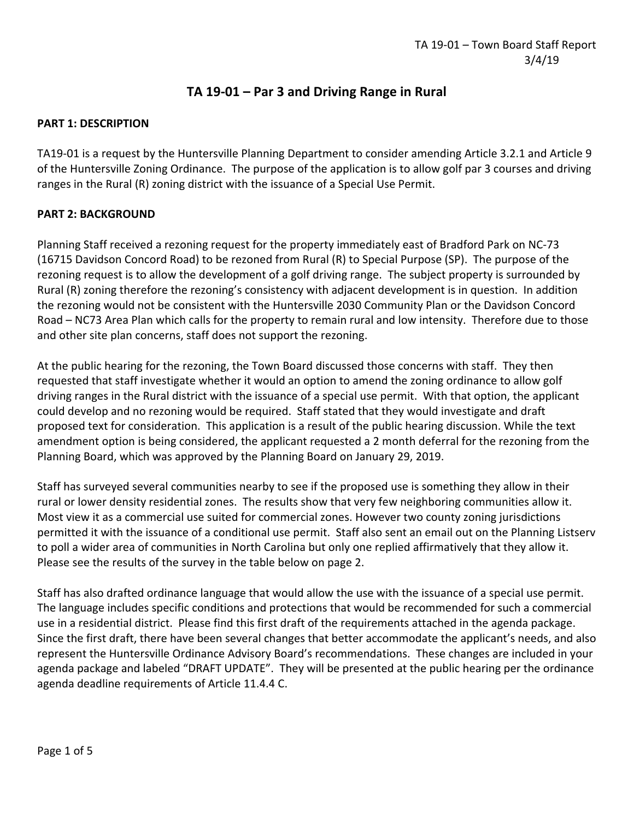# **TA 19-01 – Par 3 and Driving Range in Rural**

### **PART 1: DESCRIPTION**

TA19-01 is a request by the Huntersville Planning Department to consider amending Article 3.2.1 and Article 9 of the Huntersville Zoning Ordinance. The purpose of the application is to allow golf par 3 courses and driving ranges in the Rural (R) zoning district with the issuance of a Special Use Permit.

## **PART 2: BACKGROUND**

Planning Staff received a rezoning request for the property immediately east of Bradford Park on NC-73 (16715 Davidson Concord Road) to be rezoned from Rural (R) to Special Purpose (SP). The purpose of the rezoning request is to allow the development of a golf driving range. The subject property is surrounded by Rural (R) zoning therefore the rezoning's consistency with adjacent development is in question. In addition the rezoning would not be consistent with the Huntersville 2030 Community Plan or the Davidson Concord Road – NC73 Area Plan which calls for the property to remain rural and low intensity. Therefore due to those and other site plan concerns, staff does not support the rezoning.

At the public hearing for the rezoning, the Town Board discussed those concerns with staff. They then requested that staff investigate whether it would an option to amend the zoning ordinance to allow golf driving ranges in the Rural district with the issuance of a special use permit. With that option, the applicant could develop and no rezoning would be required. Staff stated that they would investigate and draft proposed text for consideration. This application is a result of the public hearing discussion. While the text amendment option is being considered, the applicant requested a 2 month deferral for the rezoning from the Planning Board, which was approved by the Planning Board on January 29, 2019.

Staff has surveyed several communities nearby to see if the proposed use is something they allow in their rural or lower density residential zones. The results show that very few neighboring communities allow it. Most view it as a commercial use suited for commercial zones. However two county zoning jurisdictions permitted it with the issuance of a conditional use permit. Staff also sent an email out on the Planning Listserv to poll a wider area of communities in North Carolina but only one replied affirmatively that they allow it. Please see the results of the survey in the table below on page 2.

Staff has also drafted ordinance language that would allow the use with the issuance of a special use permit. The language includes specific conditions and protections that would be recommended for such a commercial use in a residential district. Please find this first draft of the requirements attached in the agenda package. Since the first draft, there have been several changes that better accommodate the applicant's needs, and also represent the Huntersville Ordinance Advisory Board's recommendations. These changes are included in your agenda package and labeled "DRAFT UPDATE". They will be presented at the public hearing per the ordinance agenda deadline requirements of Article 11.4.4 C.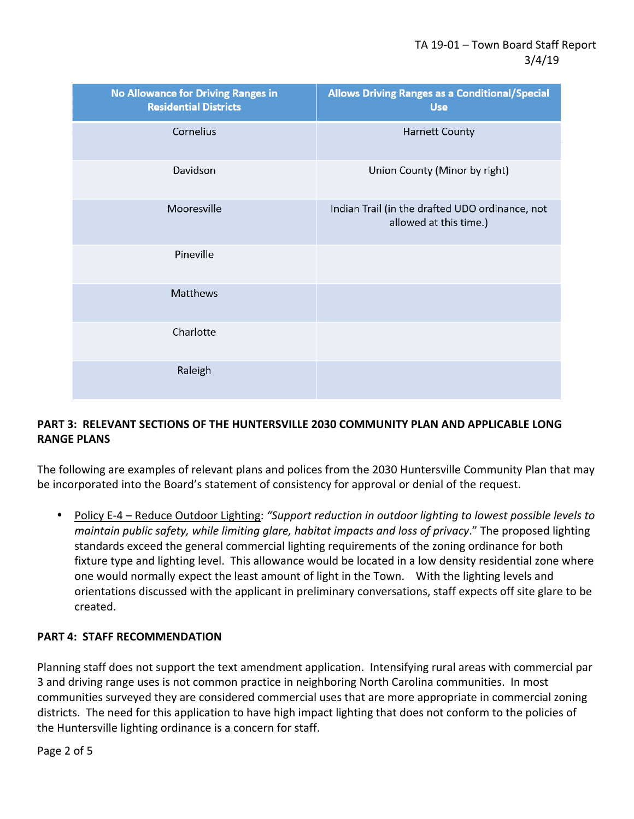| <b>No Allowance for Driving Ranges in</b><br><b>Residential Districts</b> | <b>Allows Driving Ranges as a Conditional/Special</b><br><b>Use</b>       |
|---------------------------------------------------------------------------|---------------------------------------------------------------------------|
| Cornelius                                                                 | <b>Harnett County</b>                                                     |
| Davidson                                                                  | Union County (Minor by right)                                             |
| Mooresville                                                               | Indian Trail (in the drafted UDO ordinance, not<br>allowed at this time.) |
| Pineville                                                                 |                                                                           |
| Matthews                                                                  |                                                                           |
| Charlotte                                                                 |                                                                           |
| Raleigh                                                                   |                                                                           |

# **PART 3: RELEVANT SECTIONS OF THE HUNTERSVILLE 2030 COMMUNITY PLAN AND APPLICABLE LONG RANGE PLANS**

The following are examples of relevant plans and polices from the 2030 Huntersville Community Plan that may be incorporated into the Board's statement of consistency for approval or denial of the request.

• Policy E-4 – Reduce Outdoor Lighting: *"Support reduction in outdoor lighting to lowest possible levels to maintain public safety, while limiting glare, habitat impacts and loss of privacy*." The proposed lighting standards exceed the general commercial lighting requirements of the zoning ordinance for both fixture type and lighting level. This allowance would be located in a low density residential zone where one would normally expect the least amount of light in the Town. With the lighting levels and orientations discussed with the applicant in preliminary conversations, staff expects off site glare to be created.

## **PART 4: STAFF RECOMMENDATION**

Planning staff does not support the text amendment application. Intensifying rural areas with commercial par 3 and driving range uses is not common practice in neighboring North Carolina communities. In most communities surveyed they are considered commercial uses that are more appropriate in commercial zoning districts. The need for this application to have high impact lighting that does not conform to the policies of the Huntersville lighting ordinance is a concern for staff.

Page 2 of 5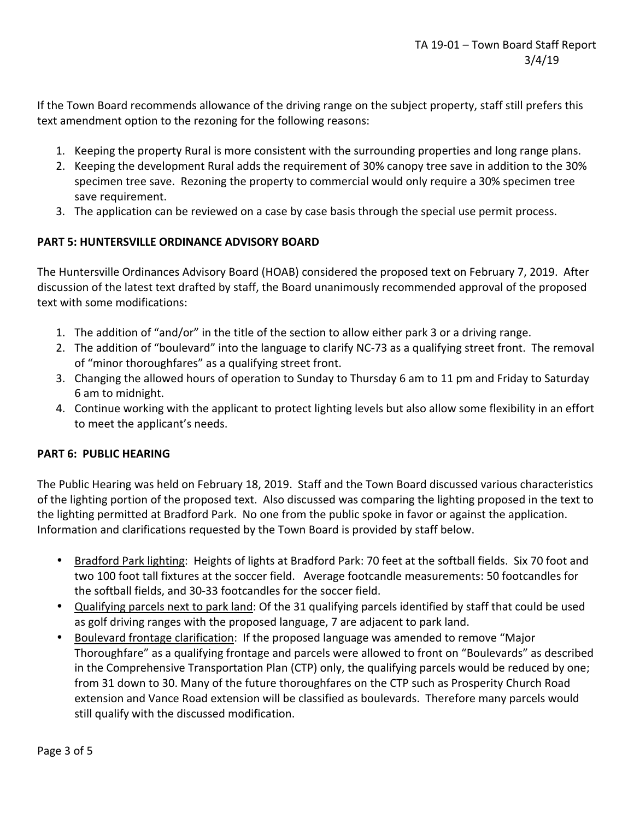If the Town Board recommends allowance of the driving range on the subject property, staff still prefers this text amendment option to the rezoning for the following reasons:

- 1. Keeping the property Rural is more consistent with the surrounding properties and long range plans.
- 2. Keeping the development Rural adds the requirement of 30% canopy tree save in addition to the 30% specimen tree save. Rezoning the property to commercial would only require a 30% specimen tree save requirement.
- 3. The application can be reviewed on a case by case basis through the special use permit process.

## **PART 5: HUNTERSVILLE ORDINANCE ADVISORY BOARD**

The Huntersville Ordinances Advisory Board (HOAB) considered the proposed text on February 7, 2019. After discussion of the latest text drafted by staff, the Board unanimously recommended approval of the proposed text with some modifications:

- 1. The addition of "and/or" in the title of the section to allow either park 3 or a driving range.
- 2. The addition of "boulevard" into the language to clarify NC-73 as a qualifying street front. The removal of "minor thoroughfares" as a qualifying street front.
- 3. Changing the allowed hours of operation to Sunday to Thursday 6 am to 11 pm and Friday to Saturday 6 am to midnight.
- 4. Continue working with the applicant to protect lighting levels but also allow some flexibility in an effort to meet the applicant's needs.

### **PART 6: PUBLIC HEARING**

The Public Hearing was held on February 18, 2019. Staff and the Town Board discussed various characteristics of the lighting portion of the proposed text. Also discussed was comparing the lighting proposed in the text to the lighting permitted at Bradford Park. No one from the public spoke in favor or against the application. Information and clarifications requested by the Town Board is provided by staff below.

- Bradford Park lighting: Heights of lights at Bradford Park: 70 feet at the softball fields. Six 70 foot and two 100 foot tall fixtures at the soccer field. Average footcandle measurements: 50 footcandles for the softball fields, and 30-33 footcandles for the soccer field.
- Qualifying parcels next to park land: Of the 31 qualifying parcels identified by staff that could be used as golf driving ranges with the proposed language, 7 are adjacent to park land.
- Boulevard frontage clarification: If the proposed language was amended to remove "Major Thoroughfare" as a qualifying frontage and parcels were allowed to front on "Boulevards" as described in the Comprehensive Transportation Plan (CTP) only, the qualifying parcels would be reduced by one; from 31 down to 30. Many of the future thoroughfares on the CTP such as Prosperity Church Road extension and Vance Road extension will be classified as boulevards. Therefore many parcels would still qualify with the discussed modification.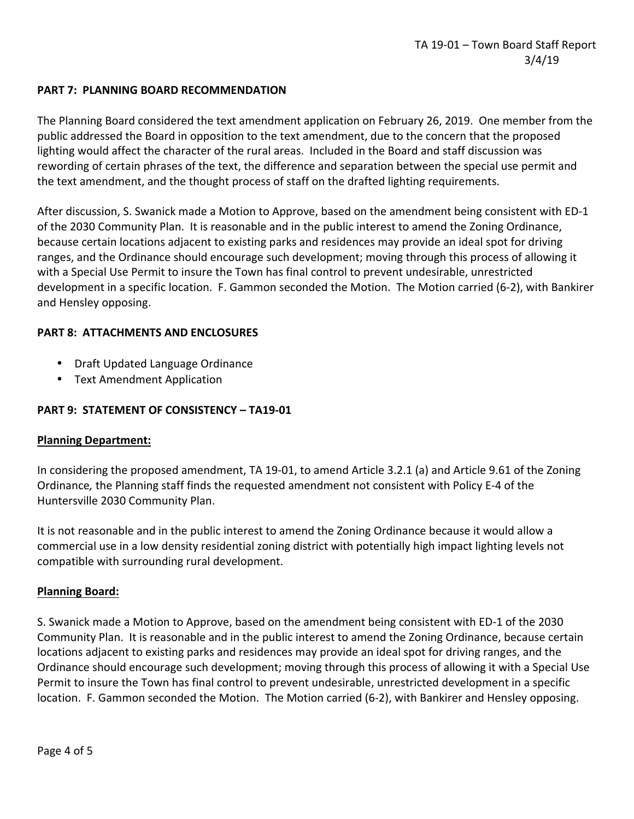## **PART 7: PLANNING BOARD RECOMMENDATION**

The Planning Board considered the text amendment application on February 26, 2019. One member from the public addressed the Board in opposition to the text amendment, due to the concern that the proposed lighting would affect the character of the rural areas. Included in the Board and staff discussion was rewording of certain phrases of the text, the difference and separation between the special use permit and the text amendment, and the thought process of staff on the drafted lighting requirements.

After discussion, S. Swanick made a Motion to Approve, based on the amendment being consistent with ED-1 of the 2030 Community Plan. It is reasonable and in the public interest to amend the Zoning Ordinance, because certain locations adjacent to existing parks and residences may provide an ideal spot for driving ranges, and the Ordinance should encourage such development; moving through this process of allowing it with a Special Use Permit to insure the Town has final control to prevent undesirable, unrestricted development in a specific location. F. Gammon seconded the Motion. The Motion carried (6-2), with Bankirer and Hensley opposing.

## **PART 8: ATTACHMENTS AND ENCLOSURES**

- Draft Updated Language Ordinance
- Text Amendment Application

## **PART 9: STATEMENT OF CONSISTENCY – TA19-01**

### **Planning Department:**

In considering the proposed amendment, TA 19-01, to amend Article 3.2.1 (a) and Article 9.61 of the Zoning Ordinance*,* the Planning staff finds the requested amendment not consistent with Policy E-4 of the Huntersville 2030 Community Plan.

It is not reasonable and in the public interest to amend the Zoning Ordinance because it would allow a commercial use in a low density residential zoning district with potentially high impact lighting levels not compatible with surrounding rural development.

### **Planning Board:**

S. Swanick made a Motion to Approve, based on the amendment being consistent with ED-1 of the 2030 Community Plan. It is reasonable and in the public interest to amend the Zoning Ordinance, because certain locations adjacent to existing parks and residences may provide an ideal spot for driving ranges, and the Ordinance should encourage such development; moving through this process of allowing it with a Special Use Permit to insure the Town has final control to prevent undesirable, unrestricted development in a specific location. F. Gammon seconded the Motion. The Motion carried (6-2), with Bankirer and Hensley opposing.